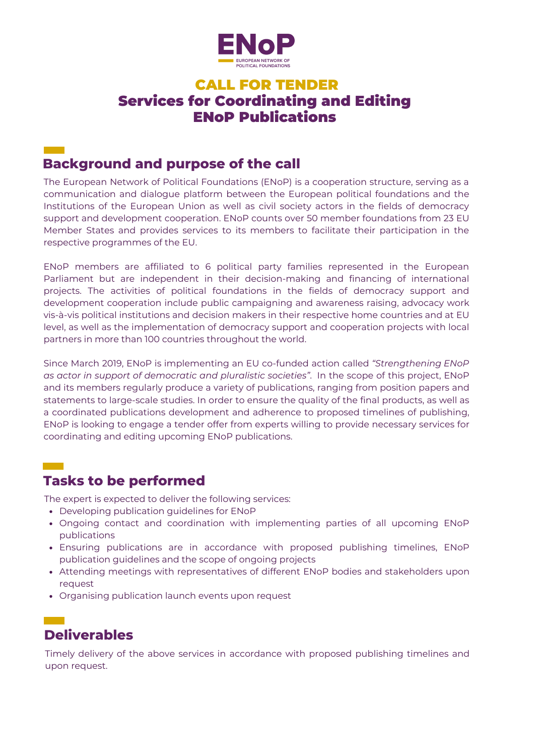

#### CALL FOR TENDER Services for Coordinating and Editing ENoP Publications

## **Background and purpose of the call**

 $\sim 10^{11}$  km s  $^{-1}$ 

The European Network of Political Foundations (ENoP) is a cooperation structure, serving as a communication and dialogue platform between the European political foundations and the Institutions of the European Union as well as civil society actors in the fields of democracy support and development cooperation. ENoP counts over 50 member foundations from 23 EU Member States and provides services to its members to facilitate their participation in the respective programmes of the EU.

ENoP members are affiliated to 6 political party families represented in the European Parliament but are independent in their decision-making and financing of international projects. The activities of political foundations in the fields of democracy support and development cooperation include public campaigning and awareness raising, advocacy work vis-à-vis political institutions and decision makers in their respective home countries and at EU level, as well as the implementation of democracy support and cooperation projects with local partners in more than 100 countries throughout the world.

Since March 2019, ENoP is implementing an EU co-funded action called *"Strengthening ENoP as actor in support of democratic and pluralistic societies"*. In the scope of this project, ENoP and its members regularly produce a variety of publications, ranging from position papers and statements to large-scale studies. In order to ensure the quality of the final products, as well as a coordinated publications development and adherence to proposed timelines of publishing, ENoP is looking to engage a tender offer from experts willing to provide necessary services for coordinating and editing upcoming ENoP publications.

### **Tasks to be performed**

The expert is expected to deliver the following services:

- Developing publication guidelines for ENoP
- Ongoing contact and coordination with implementing parties of all upcoming ENoP publications
- Ensuring publications are in accordance with proposed publishing timelines, ENoP publication guidelines and the scope of ongoing projects
- Attending meetings with representatives of different ENoP bodies and stakeholders upon request
- Organising publication launch events upon request

## **Deliverables**

Timely delivery of the above services in accordance with proposed publishing timelines and upon request.